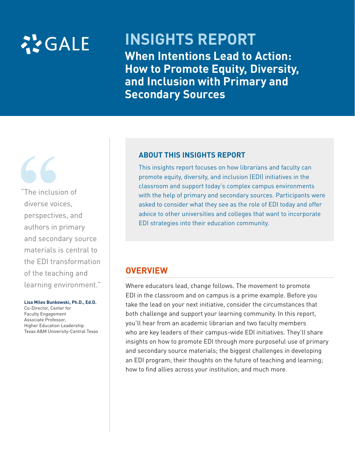

# **INSIGHTS REPORT When Intentions Lead to Action: How to Promote Equity, Diversity, and Inclusion with Primary and Secondary Sources**

"The inclusion of diverse voices, perspectives, and authors in primary and secondary source materials is central to the EDI transformation of the teaching and learning environment."

#### **Lisa Miles Bunkowski, Ph.D., Ed.D.**

Co-Director, Center for Faculty Engagement Associate Professor, Higher Education Leadership Texas A&M University-Central Texas

#### **ABOUT THIS INSIGHTS REPORT**

This insights report focuses on how librarians and faculty can promote equity, diversity, and inclusion (EDI) initiatives in the classroom and support today's complex campus environments with the help of primary and secondary sources. Participants were asked to consider what they see as the role of EDI today and offer advice to other universities and colleges that want to incorporate EDI strategies into their education community.

# **OVERVIEW**

Where educators lead, change follows. The movement to promote EDI in the classroom and on campus is a prime example. Before you take the lead on your next initiative, consider the circumstances that both challenge and support your learning community. In this report, you'll hear from an academic librarian and two faculty members who are key leaders of their campus-wide EDI initiatives. They'll share insights on how to promote EDI through more purposeful use of primary and secondary source materials; the biggest challenges in developing an EDI program; their thoughts on the future of teaching and learning; how to find allies across your institution; and much more.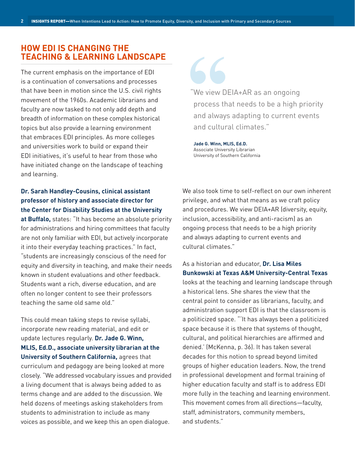# **HOW EDI IS CHANGING THE TEACHING & LEARNING LANDSCAPE**

The current emphasis on the importance of EDI is a continuation of conversations and processes that have been in motion since the U.S. civil rights movement of the 1960s. Academic librarians and faculty are now tasked to not only add depth and breadth of information on these complex historical topics but also provide a learning environment that embraces EDI principles. As more colleges and universities work to build or expand their EDI initiatives, it's useful to hear from those who have initiated change on the landscape of teaching and learning.

## **Dr. Sarah Handley-Cousins, clinical assistant professor of history and associate director for the Center for Disability Studies at the University**

**at Buffalo,** states: "It has become an absolute priority for administrations and hiring committees that faculty are not only familiar with EDI, but actively incorporate it into their everyday teaching practices." In fact, "students are increasingly conscious of the need for equity and diversity in teaching, and make their needs known in student evaluations and other feedback. Students want a rich, diverse education, and are often no longer content to see their professors teaching the same old same old."

This could mean taking steps to revise syllabi, incorporate new reading material, and edit or update lectures regularly. **Dr. Jade G. Winn, MLIS, Ed.D., associate university librarian at the University of Southern California,** agrees that curriculum and pedagogy are being looked at more closely. "We addressed vocabulary issues and provided a living document that is always being added to as terms change and are added to the discussion. We held dozens of meetings asking stakeholders from students to administration to include as many voices as possible, and we keep this an open dialogue.

"We view DEIA+AR as an ongoing process that needs to be a high priority and always adapting to current events and cultural climates."

**Jade G. Winn, MLIS, Ed.D.**  Associate University Librarian University of Southern California

We also took time to self-reflect on our own inherent privilege, and what that means as we craft policy and procedures. We view DEIA+AR (diversity, equity, inclusion, accessibility, and anti-racism) as an ongoing process that needs to be a high priority and always adapting to current events and cultural climates."

# As a historian and educator, **Dr. Lisa Miles Bunkowski at Texas A&M University-Central Texas**

looks at the teaching and learning landscape through a historical lens. She shares the view that the central point to consider as librarians, faculty, and administration support EDI is that the classroom is a politicized space. "'It has always been a politicized space because it is there that systems of thought, cultural, and political hierarchies are affirmed and denied.' (McKenna, p. 36). It has taken several decades for this notion to spread beyond limited groups of higher education leaders. Now, the trend in professional development and formal training of higher education faculty and staff is to address EDI more fully in the teaching and learning environment. This movement comes from all directions—faculty, staff, administrators, community members, and students."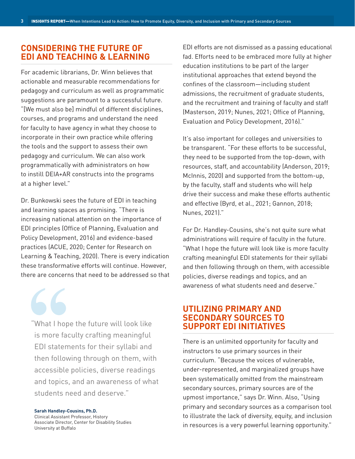# **CONSIDERING THE FUTURE OF EDI AND TEACHING & LEARNING**

For academic librarians, Dr. Winn believes that actionable and measurable recommendations for pedagogy and curriculum as well as programmatic suggestions are paramount to a successful future. "[We must also be] mindful of different disciplines, courses, and programs and understand the need for faculty to have agency in what they choose to incorporate in their own practice while offering the tools and the support to assess their own pedagogy and curriculum. We can also work programmatically with administrators on how to instill DEIA+AR constructs into the programs at a higher level."

Dr. Bunkowski sees the future of EDI in teaching and learning spaces as promising. "There is increasing national attention on the importance of EDI principles (Office of Planning, Evaluation and Policy Development, 2016) and evidence-based practices (ACUE, 2020; Center for Research on Learning & Teaching, 2020). There is every indication these transformative efforts will continue. However, there are concerns that need to be addressed so that

"What I hope the future will look like is more faculty crafting meaningful EDI statements for their syllabi and then following through on them, with accessible policies, diverse readings and topics, and an awareness of what students need and deserve."

**Sarah Handley-Cousins, Ph.D.**  Clinical Assistant Professor, History Associate Director, Center for Disability Studies University at Buffalo

EDI efforts are not dismissed as a passing educational fad. Efforts need to be embraced more fully at higher education institutions to be part of the larger institutional approaches that extend beyond the confines of the classroom—including student admissions, the recruitment of graduate students, and the recruitment and training of faculty and staff (Masterson, 2019; Nunes, 2021; Office of Planning, Evaluation and Policy Development, 2016)."

It's also important for colleges and universities to be transparent. "For these efforts to be successful, they need to be supported from the top-down, with resources, staff, and accountability (Anderson, 2019; McInnis, 2020) and supported from the bottom-up, by the faculty, staff and students who will help drive their success and make these efforts authentic and effective (Byrd, et al., 2021; Gannon, 2018; Nunes, 2021)."

For Dr. Handley-Cousins, she's not quite sure what administrations will require of faculty in the future. "What I hope the future will look like is more faculty crafting meaningful EDI statements for their syllabi and then following through on them, with accessible policies, diverse readings and topics, and an awareness of what students need and deserve."

# **UTILIZING PRIMARY AND SECONDARY SOURCES TO SUPPORT EDI INITIATIVES**

There is an unlimited opportunity for faculty and instructors to use primary sources in their curriculum. "Because the voices of vulnerable, under-represented, and marginalized groups have been systematically omitted from the mainstream secondary sources, primary sources are of the upmost importance," says Dr. Winn. Also, "Using primary and secondary sources as a comparison tool to illustrate the lack of diversity, equity, and inclusion in resources is a very powerful learning opportunity."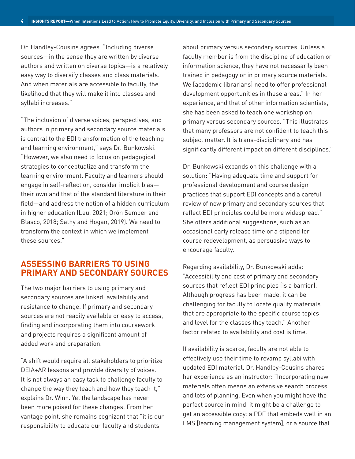Dr. Handley-Cousins agrees. "Including diverse sources—in the sense they are written by diverse authors and written on diverse topics—is a relatively easy way to diversify classes and class materials. And when materials are accessible to faculty, the likelihood that they will make it into classes and syllabi increases."

"The inclusion of diverse voices, perspectives, and authors in primary and secondary source materials is central to the EDI transformation of the teaching and learning environment," says Dr. Bunkowski. "However, we also need to focus on pedagogical strategies to conceptualize and transform the learning environment. Faculty and learners should engage in self-reflection, consider implicit bias their own and that of the standard literature in their field—and address the notion of a hidden curriculum in higher education (Leu, 2021; Orón Semper and Blasco, 2018; Sathy and Hogan, 2019). We need to transform the context in which we implement these sources."

# **ASSESSING BARRIERS TO USING PRIMARY AND SECONDARY SOURCES**

The two major barriers to using primary and secondary sources are linked: availability and resistance to change. If primary and secondary sources are not readily available or easy to access, finding and incorporating them into coursework and projects requires a significant amount of added work and preparation.

"A shift would require all stakeholders to prioritize DEIA+AR lessons and provide diversity of voices. It is not always an easy task to challenge faculty to change the way they teach and how they teach it," explains Dr. Winn. Yet the landscape has never been more poised for these changes. From her vantage point, she remains cognizant that "it is our responsibility to educate our faculty and students

about primary versus secondary sources. Unless a faculty member is from the discipline of education or information science, they have not necessarily been trained in pedagogy or in primary source materials. We [academic librarians] need to offer professional development opportunities in these areas." In her experience, and that of other information scientists, she has been asked to teach one workshop on primary versus secondary sources. "This illustrates that many professors are not confident to teach this subject matter. It is trans-disciplinary and has significantly different impact on different disciplines."

Dr. Bunkowski expands on this challenge with a solution: "Having adequate time and support for professional development and course design practices that support EDI concepts and a careful review of new primary and secondary sources that reflect EDI principles could be more widespread." She offers additional suggestions, such as an occasional early release time or a stipend for course redevelopment, as persuasive ways to encourage faculty.

Regarding availability, Dr. Bunkowski adds: "Accessibility and cost of primary and secondary sources that reflect EDI principles [is a barrier]. Although progress has been made, it can be challenging for faculty to locate quality materials that are appropriate to the specific course topics and level for the classes they teach." Another factor related to availability and cost is time.

If availability is scarce, faculty are not able to effectively use their time to revamp syllabi with updated EDI material. Dr. Handley-Cousins shares her experience as an instructor: "Incorporating new materials often means an extensive search process and lots of planning. Even when you might have the perfect source in mind, it might be a challenge to get an accessible copy: a PDF that embeds well in an LMS [learning management system], or a source that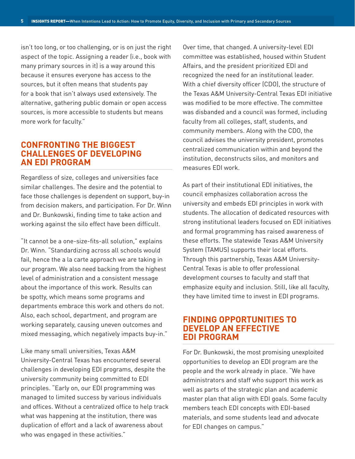isn't too long, or too challenging, or is on just the right aspect of the topic. Assigning a reader (i.e., book with many primary sources in it) is a way around this because it ensures everyone has access to the sources, but it often means that students pay for a book that isn't always used extensively. The alternative, gathering public domain or open access sources, is more accessible to students but means more work for faculty."

## **CONFRONTING THE BIGGEST CHALLENGES OF DEVELOPING AN EDI PROGRAM**

Regardless of size, colleges and universities face similar challenges. The desire and the potential to face those challenges is dependent on support, buy-in from decision makers, and participation. For Dr. Winn and Dr. Bunkowski, finding time to take action and working against the silo effect have been difficult.

"It cannot be a one-size-fits-all solution," explains Dr. Winn. "Standardizing across all schools would fail, hence the a la carte approach we are taking in our program. We also need backing from the highest level of administration and a consistent message about the importance of this work. Results can be spotty, which means some programs and departments embrace this work and others do not. Also, each school, department, and program are working separately, causing uneven outcomes and mixed messaging, which negatively impacts buy-in."

Like many small universities, Texas A&M University-Central Texas has encountered several challenges in developing EDI programs, despite the university community being committed to EDI principles. "Early on, our EDI programming was managed to limited success by various individuals and offices. Without a centralized office to help track what was happening at the institution, there was duplication of effort and a lack of awareness about who was engaged in these activities."

Over time, that changed. A university-level EDI committee was established, housed within Student Affairs, and the president prioritized EDI and recognized the need for an institutional leader. With a chief diversity officer (CDO), the structure of the Texas A&M University-Central Texas EDI initiative was modified to be more effective. The committee was disbanded and a council was formed, including faculty from all colleges, staff, students, and community members. Along with the CDO, the council advises the university president, promotes centralized communication within and beyond the institution, deconstructs silos, and monitors and measures EDI work.

As part of their institutional EDI initiatives, the council emphasizes collaboration across the university and embeds EDI principles in work with students. The allocation of dedicated resources with strong institutional leaders focused on EDI initiatives and formal programming has raised awareness of these efforts. The statewide Texas A&M University System (TAMUS) supports their local efforts. Through this partnership, Texas A&M University-Central Texas is able to offer professional development courses to faculty and staff that emphasize equity and inclusion. Still, like all faculty, they have limited time to invest in EDI programs.

## **FINDING OPPORTUNITIES TO DEVELOP AN EFFECTIVE EDI PROGRAM**

For Dr. Bunkowski, the most promising unexploited opportunities to develop an EDI program are the people and the work already in place. "We have administrators and staff who support this work as well as parts of the strategic plan and academic master plan that align with EDI goals. Some faculty members teach EDI concepts with EDI-based materials, and some students lead and advocate for EDI changes on campus."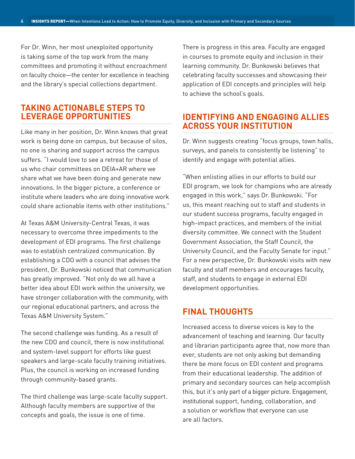For Dr. Winn, her most unexploited opportunity is taking some of the top work from the many committees and promoting it without encroachment on faculty choice—the center for excellence in teaching and the library's special collections department.

# **TAKING ACTIONABLE STEPS TO LEVERAGE OPPORTUNITIES**

Like many in her position, Dr. Winn knows that great work is being done on campus, but because of silos, no one is sharing and support across the campus suffers. "I would love to see a retreat for those of us who chair committees on DEIA+AR where we share what we have been doing and generate new innovations. In the bigger picture, a conference or institute where leaders who are doing innovative work could share actionable items with other institutions."

At Texas A&M University-Central Texas, it was necessary to overcome three impediments to the development of EDI programs. The first challenge was to establish centralized communication. By establishing a CDO with a council that advises the president, Dr. Bunkowski noticed that communication has greatly improved. "Not only do we all have a better idea about EDI work within the university, we have stronger collaboration with the community, with our regional educational partners, and across the Texas A&M University System."

The second challenge was funding. As a result of the new CDO and council, there is now institutional and system-level support for efforts like guest speakers and large-scale faculty training initiatives. Plus, the council is working on increased funding through community-based grants.

The third challenge was large-scale faculty support. Although faculty members are supportive of the concepts and goals, the issue is one of time.

There is progress in this area. Faculty are engaged in courses to promote equity and inclusion in their learning community. Dr. Bunkowski believes that celebrating faculty successes and showcasing their application of EDI concepts and principles will help to achieve the school's goals.

# **IDENTIFYING AND ENGAGING ALLIES ACROSS YOUR INSTITUTION**

Dr. Winn suggests creating "focus groups, town halls, surveys, and panels to consistently be listening" to identify and engage with potential allies.

"When enlisting allies in our efforts to build our EDI program, we look for champions who are already engaged in this work," says Dr. Bunkowski. "For us, this meant reaching out to staff and students in our student success programs, faculty engaged in high-impact practices, and members of the initial diversity committee. We connect with the Student Government Association, the Staff Council, the University Council, and the Faculty Senate for input." For a new perspective, Dr. Bunkowski visits with new faculty and staff members and encourages faculty, staff, and students to engage in external EDI development opportunities.

# **FINAL THOUGHTS**

Increased access to diverse voices is key to the advancement of teaching and learning. Our faculty and librarian participants agree that, now more than ever, students are not only asking but demanding there be more focus on EDI content and programs from their educational leadership. The addition of primary and secondary sources can help accomplish this, but it's only part of a bigger picture. Engagement, institutional support, funding, collaboration, and a solution or workflow that everyone can use are all factors.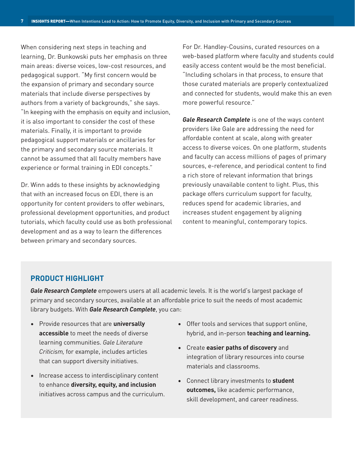When considering next steps in teaching and learning, Dr. Bunkowski puts her emphasis on three main areas: diverse voices, low-cost resources, and pedagogical support. "My first concern would be the expansion of primary and secondary source materials that include diverse perspectives by authors from a variety of backgrounds," she says. "In keeping with the emphasis on equity and inclusion, it is also important to consider the cost of these materials. Finally, it is important to provide pedagogical support materials or ancillaries for the primary and secondary source materials. It cannot be assumed that all faculty members have experience or formal training in EDI concepts."

Dr. Winn adds to these insights by acknowledging that with an increased focus on EDI, there is an opportunity for content providers to offer webinars, professional development opportunities, and product tutorials, which faculty could use as both professional development and as a way to learn the differences between primary and secondary sources.

For Dr. Handley-Cousins, curated resources on a web-based platform where faculty and students could easily access content would be the most beneficial. "Including scholars in that process, to ensure that those curated materials are properly contextualized and connected for students, would make this an even more powerful resource."

*[Gale Research Complete](https://www.gale.com/academic/gale-research-complete-insights)* is one of the ways content providers like Gale are addressing the need for affordable content at scale, along with greater access to diverse voices. On one platform, students and faculty can access millions of pages of primary sources, e-reference, and periodical content to find a rich store of relevant information that brings previously unavailable content to light. Plus, this package offers curriculum support for faculty, reduces spend for academic libraries, and increases student engagement by aligning content to meaningful, contemporary topics.

### **PRODUCT HIGHLIGHT**

*[Gale Research Complete](https://www.gale.com/academic/gale-research-complete-insights)* empowers users at all academic levels. It is the world's largest package of primary and secondary sources, available at an affordable price to suit the needs of most academic library budgets. With *[Gale Research Complete](https://www.gale.com/academic/gale-research-complete-insights)*, you can:

- Provide resources that are **universally accessible** to meet the needs of diverse learning communities. *Gale Literature Criticism,* for example, includes articles that can support diversity initiatives.
- Increase access to interdisciplinary content to enhance **diversity, equity, and inclusion** initiatives across campus and the curriculum.
- Offer tools and services that support online, hybrid, and in-person **teaching and learning.**
- Create **easier paths of discovery** and integration of library resources into course materials and classrooms.
- Connect library investments to **student outcomes,** like academic performance, skill development, and career readiness.